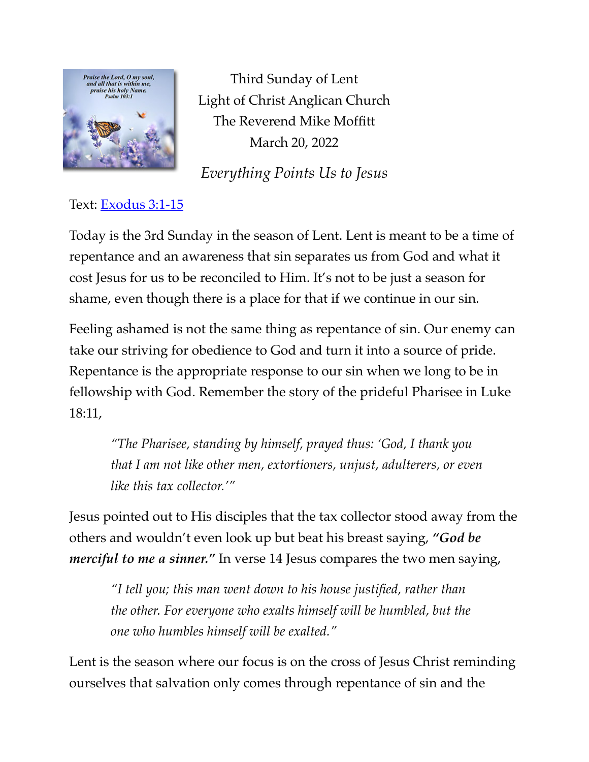

Third Sunday of Lent Light of Christ Anglican Church The Reverend Mike Moffitt March 20, 2022

*Everything Points Us to Jesus*

## Text: [Exodus 3:1-15](https://www.biblegateway.com/passage/?search=Exodus+3:1-15&version=ESV)

Today is the 3rd Sunday in the season of Lent. Lent is meant to be a time of repentance and an awareness that sin separates us from God and what it cost Jesus for us to be reconciled to Him. It's not to be just a season for shame, even though there is a place for that if we continue in our sin.

Feeling ashamed is not the same thing as repentance of sin. Our enemy can take our striving for obedience to God and turn it into a source of pride. Repentance is the appropriate response to our sin when we long to be in fellowship with God. Remember the story of the prideful Pharisee in Luke 18:11,

*"The Pharisee, standing by himself, prayed thus: 'God, I thank you that I am not like other men, extortioners, unjust, adulterers, or even like this tax collector.'"* 

Jesus pointed out to His disciples that the tax collector stood away from the others and wouldn't even look up but beat his breast saying, *"God be merciful to me a sinner.*" In verse 14 Jesus compares the two men saying,

*"I tell you; this man went down to his house justified, rather than the other. For everyone who exalts himself will be humbled, but the one who humbles himself will be exalted."*

Lent is the season where our focus is on the cross of Jesus Christ reminding ourselves that salvation only comes through repentance of sin and the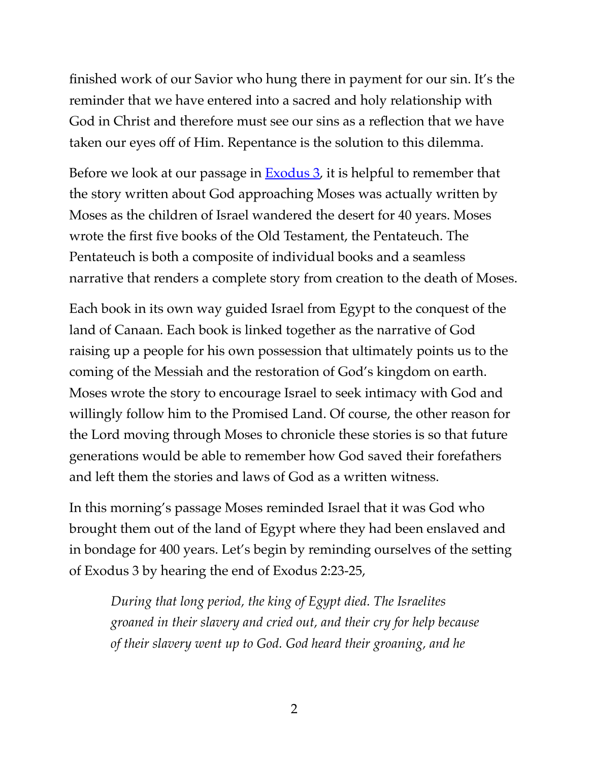finished work of our Savior who hung there in payment for our sin. It's the reminder that we have entered into a sacred and holy relationship with God in Christ and therefore must see our sins as a reflection that we have taken our eyes off of Him. Repentance is the solution to this dilemma.

Before we look at our passage in  $Exodus 3$ , it is helpful to remember that the story written about God approaching Moses was actually written by Moses as the children of Israel wandered the desert for 40 years. Moses wrote the first five books of the Old Testament, the Pentateuch. The Pentateuch is both a composite of individual books and a seamless narrative that renders a complete story from creation to the death of Moses.

Each book in its own way guided Israel from Egypt to the conquest of the land of Canaan. Each book is linked together as the narrative of God raising up a people for his own possession that ultimately points us to the coming of the Messiah and the restoration of God's kingdom on earth. Moses wrote the story to encourage Israel to seek intimacy with God and willingly follow him to the Promised Land. Of course, the other reason for the Lord moving through Moses to chronicle these stories is so that future generations would be able to remember how God saved their forefathers and left them the stories and laws of God as a written witness.

In this morning's passage Moses reminded Israel that it was God who brought them out of the land of Egypt where they had been enslaved and in bondage for 400 years. Let's begin by reminding ourselves of the setting of Exodus 3 by hearing the end of Exodus 2:23-25,

*During that long period, the king of Egypt died. The Israelites groaned in their slavery and cried out, and their cry for help because of their slavery went up to God. God heard their groaning, and he*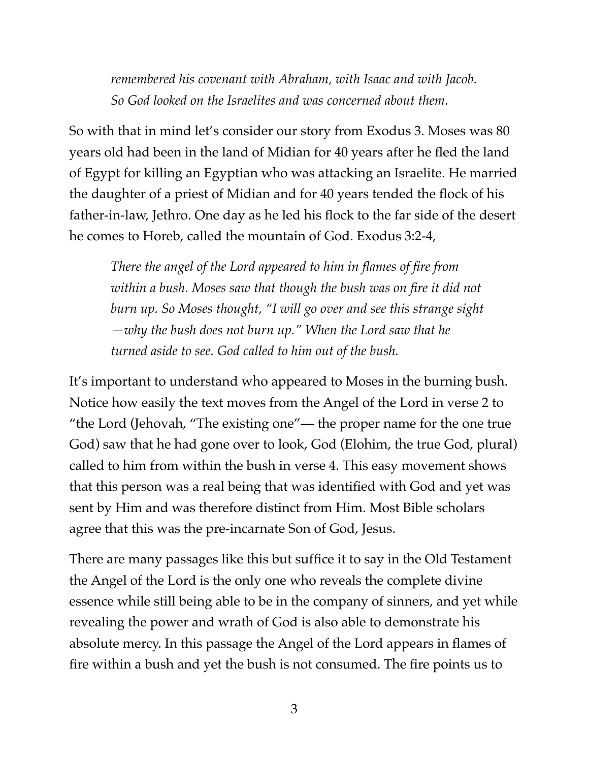*remembered his covenant with Abraham, with Isaac and with Jacob. So God looked on the Israelites and was concerned about them.*

So with that in mind let's consider our story from Exodus 3. Moses was 80 years old had been in the land of Midian for 40 years after he fled the land of Egypt for killing an Egyptian who was attacking an Israelite. He married the daughter of a priest of Midian and for 40 years tended the flock of his father-in-law, Jethro. One day as he led his flock to the far side of the desert he comes to Horeb, called the mountain of God. Exodus 3:2-4,

*There the angel of the Lord appeared to him in flames of fire from within a bush. Moses saw that though the bush was on fire it did not burn up. So Moses thought, "I will go over and see this strange sight —why the bush does not burn up." When the Lord saw that he turned aside to see. God called to him out of the bush.*

It's important to understand who appeared to Moses in the burning bush. Notice how easily the text moves from the Angel of the Lord in verse 2 to "the Lord (Jehovah, "The existing one"— the proper name for the one true God) saw that he had gone over to look, God (Elohim, the true God, plural) called to him from within the bush in verse 4. This easy movement shows that this person was a real being that was identified with God and yet was sent by Him and was therefore distinct from Him. Most Bible scholars agree that this was the pre-incarnate Son of God, Jesus.

There are many passages like this but suffice it to say in the Old Testament the Angel of the Lord is the only one who reveals the complete divine essence while still being able to be in the company of sinners, and yet while revealing the power and wrath of God is also able to demonstrate his absolute mercy. In this passage the Angel of the Lord appears in flames of fire within a bush and yet the bush is not consumed. The fire points us to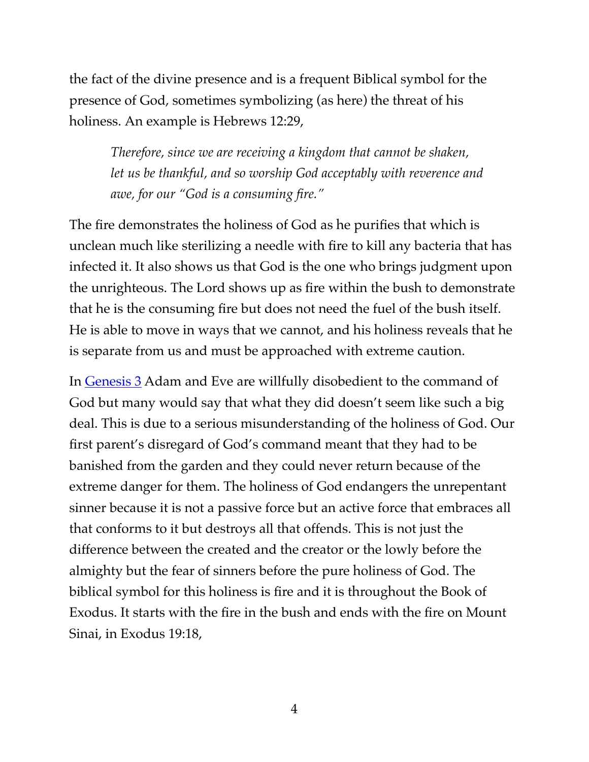the fact of the divine presence and is a frequent Biblical symbol for the presence of God, sometimes symbolizing (as here) the threat of his holiness. An example is Hebrews 12:29,

*Therefore, since we are receiving a kingdom that cannot be shaken, let us be thankful, and so worship God acceptably with reverence and awe, for our "God is a consuming fire."*

The fire demonstrates the holiness of God as he purifies that which is unclean much like sterilizing a needle with fire to kill any bacteria that has infected it. It also shows us that God is the one who brings judgment upon the unrighteous. The Lord shows up as fire within the bush to demonstrate that he is the consuming fire but does not need the fuel of the bush itself. He is able to move in ways that we cannot, and his holiness reveals that he is separate from us and must be approached with extreme caution.

In [Genesis 3](https://www.biblegateway.com/passage/?search=Genesis+3&version=ESV) Adam and Eve are willfully disobedient to the command of God but many would say that what they did doesn't seem like such a big deal. This is due to a serious misunderstanding of the holiness of God. Our first parent's disregard of God's command meant that they had to be banished from the garden and they could never return because of the extreme danger for them. The holiness of God endangers the unrepentant sinner because it is not a passive force but an active force that embraces all that conforms to it but destroys all that offends. This is not just the difference between the created and the creator or the lowly before the almighty but the fear of sinners before the pure holiness of God. The biblical symbol for this holiness is fire and it is throughout the Book of Exodus. It starts with the fire in the bush and ends with the fire on Mount Sinai, in Exodus 19:18,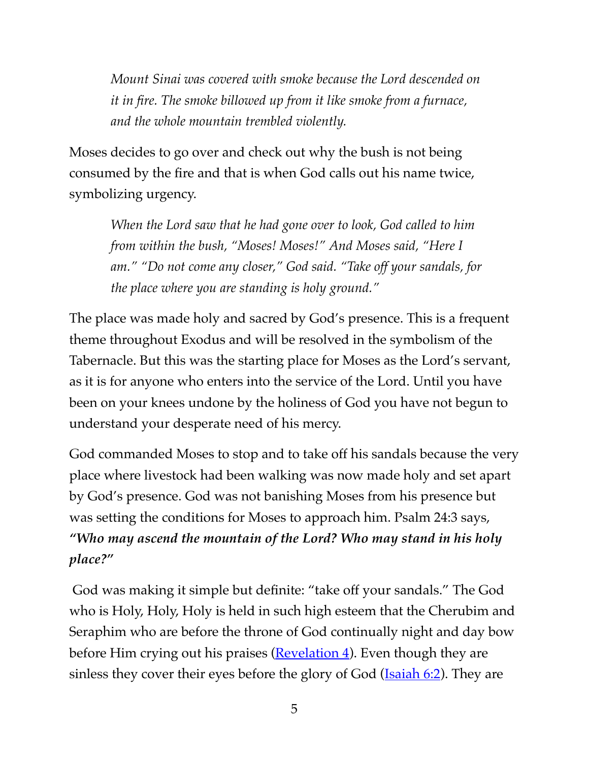*Mount Sinai was covered with smoke because the Lord descended on it in fire. The smoke billowed up from it like smoke from a furnace, and the whole mountain trembled violently.*

Moses decides to go over and check out why the bush is not being consumed by the fire and that is when God calls out his name twice, symbolizing urgency.

*When the Lord saw that he had gone over to look, God called to him from within the bush, "Moses! Moses!" And Moses said, "Here I am." "Do not come any closer," God said. "Take off your sandals, for the place where you are standing is holy ground."* 

The place was made holy and sacred by God's presence. This is a frequent theme throughout Exodus and will be resolved in the symbolism of the Tabernacle. But this was the starting place for Moses as the Lord's servant, as it is for anyone who enters into the service of the Lord. Until you have been on your knees undone by the holiness of God you have not begun to understand your desperate need of his mercy.

God commanded Moses to stop and to take off his sandals because the very place where livestock had been walking was now made holy and set apart by God's presence. God was not banishing Moses from his presence but was setting the conditions for Moses to approach him. Psalm 24:3 says, *"Who may ascend the mountain of the Lord? Who may stand in his holy place?"*

 God was making it simple but definite: "take off your sandals." The God who is Holy, Holy, Holy is held in such high esteem that the Cherubim and Seraphim who are before the throne of God continually night and day bow before Him crying out his praises  $(Revelation 4)$  $(Revelation 4)$ . Even though they are sinless they cover their eyes before the glory of God (**Isaiah 6:2**). They are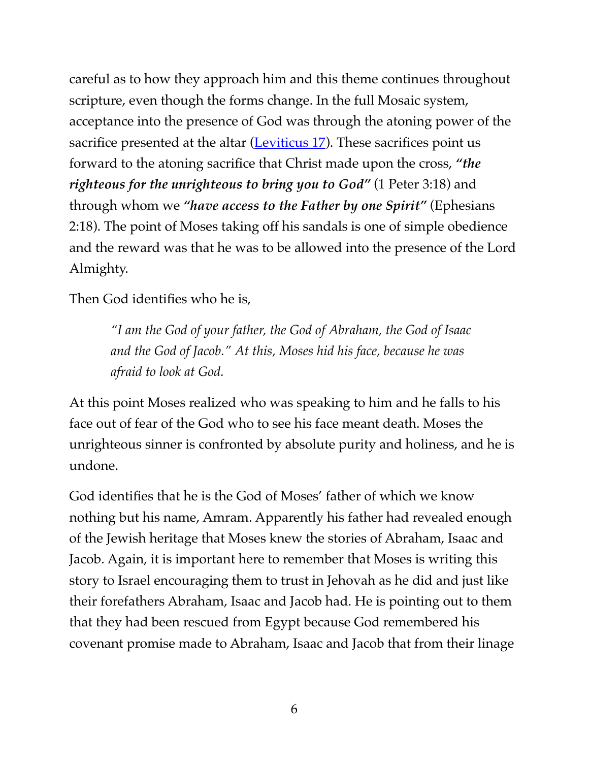careful as to how they approach him and this theme continues throughout scripture, even though the forms change. In the full Mosaic system, acceptance into the presence of God was through the atoning power of the sacrifice presented at the altar (Leviticus  $17$ ). These sacrifices point us forward to the atoning sacrifice that Christ made upon the cross, *"the righteous for the unrighteous to bring you to God"* (1 Peter 3:18) and through whom we *"have access to the Father by one Spirit"* (Ephesians 2:18). The point of Moses taking off his sandals is one of simple obedience and the reward was that he was to be allowed into the presence of the Lord Almighty.

Then God identifies who he is,

*"I am the God of your father, the God of Abraham, the God of Isaac and the God of Jacob." At this, Moses hid his face, because he was afraid to look at God.*

At this point Moses realized who was speaking to him and he falls to his face out of fear of the God who to see his face meant death. Moses the unrighteous sinner is confronted by absolute purity and holiness, and he is undone.

God identifies that he is the God of Moses' father of which we know nothing but his name, Amram. Apparently his father had revealed enough of the Jewish heritage that Moses knew the stories of Abraham, Isaac and Jacob. Again, it is important here to remember that Moses is writing this story to Israel encouraging them to trust in Jehovah as he did and just like their forefathers Abraham, Isaac and Jacob had. He is pointing out to them that they had been rescued from Egypt because God remembered his covenant promise made to Abraham, Isaac and Jacob that from their linage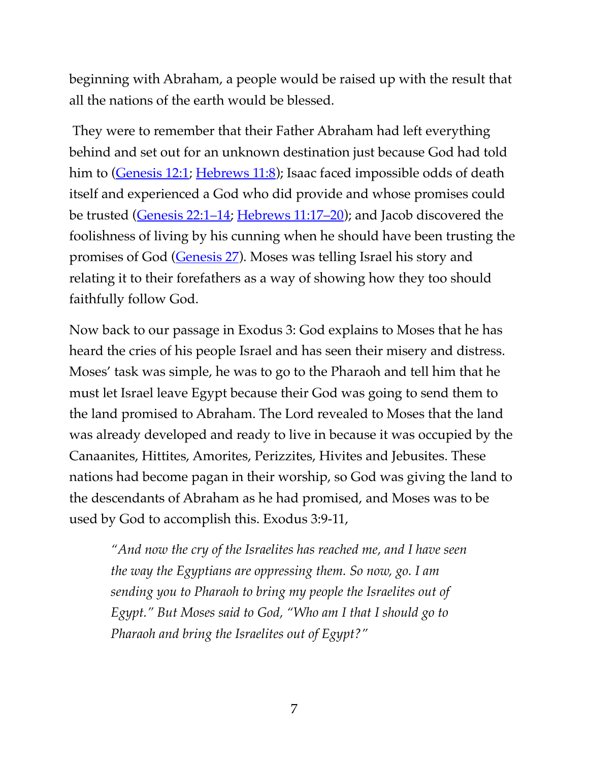beginning with Abraham, a people would be raised up with the result that all the nations of the earth would be blessed.

 They were to remember that their Father Abraham had left everything behind and set out for an unknown destination just because God had told him to [\(Genesis 12:1;](https://www.biblegateway.com/passage/?search=Genesis+12:1&version=ESV) [Hebrews 11:8\)](https://www.biblegateway.com/passage/?search=Hebrews+11:8&version=ESV); Isaac faced impossible odds of death itself and experienced a God who did provide and whose promises could be trusted [\(Genesis 22:1–14;](https://www.biblegateway.com/passage/?search=Genesis+22:1%E2%80%9314&version=ESV) [Hebrews](https://www.biblegateway.com/passage/?search=Hebrews%C2%A011:17%E2%80%9320&version=ESV) 11:17–20); and Jacob discovered the foolishness of living by his cunning when he should have been trusting the promises of God ([Genesis 27](https://www.biblegateway.com/passage/?search=Genesis+27&version=ESV)). Moses was telling Israel his story and relating it to their forefathers as a way of showing how they too should faithfully follow God.

Now back to our passage in Exodus 3: God explains to Moses that he has heard the cries of his people Israel and has seen their misery and distress. Moses' task was simple, he was to go to the Pharaoh and tell him that he must let Israel leave Egypt because their God was going to send them to the land promised to Abraham. The Lord revealed to Moses that the land was already developed and ready to live in because it was occupied by the Canaanites, Hittites, Amorites, Perizzites, Hivites and Jebusites. These nations had become pagan in their worship, so God was giving the land to the descendants of Abraham as he had promised, and Moses was to be used by God to accomplish this. Exodus 3:9-11,

*"And now the cry of the Israelites has reached me, and I have seen the way the Egyptians are oppressing them. So now, go. I am sending you to Pharaoh to bring my people the Israelites out of Egypt." But Moses said to God, "Who am I that I should go to Pharaoh and bring the Israelites out of Egypt?"*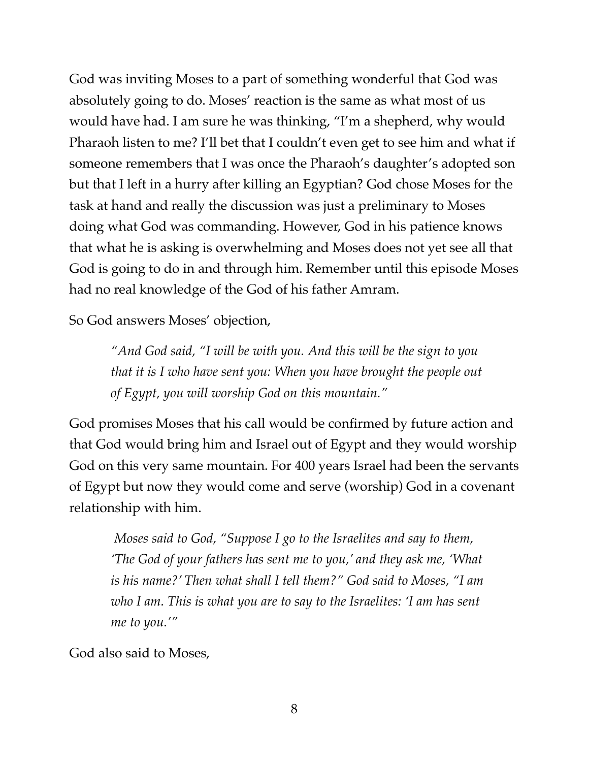God was inviting Moses to a part of something wonderful that God was absolutely going to do. Moses' reaction is the same as what most of us would have had. I am sure he was thinking, "I'm a shepherd, why would Pharaoh listen to me? I'll bet that I couldn't even get to see him and what if someone remembers that I was once the Pharaoh's daughter's adopted son but that I left in a hurry after killing an Egyptian? God chose Moses for the task at hand and really the discussion was just a preliminary to Moses doing what God was commanding. However, God in his patience knows that what he is asking is overwhelming and Moses does not yet see all that God is going to do in and through him. Remember until this episode Moses had no real knowledge of the God of his father Amram.

So God answers Moses' objection,

*"And God said, "I will be with you. And this will be the sign to you that it is I who have sent you: When you have brought the people out of Egypt, you will worship God on this mountain."*

God promises Moses that his call would be confirmed by future action and that God would bring him and Israel out of Egypt and they would worship God on this very same mountain. For 400 years Israel had been the servants of Egypt but now they would come and serve (worship) God in a covenant relationship with him.

 *Moses said to God, "Suppose I go to the Israelites and say to them, 'The God of your fathers has sent me to you,' and they ask me, 'What is his name?' Then what shall I tell them?" God said to Moses, "I am who I am. This is what you are to say to the Israelites: 'I am has sent me to you.'"*

God also said to Moses,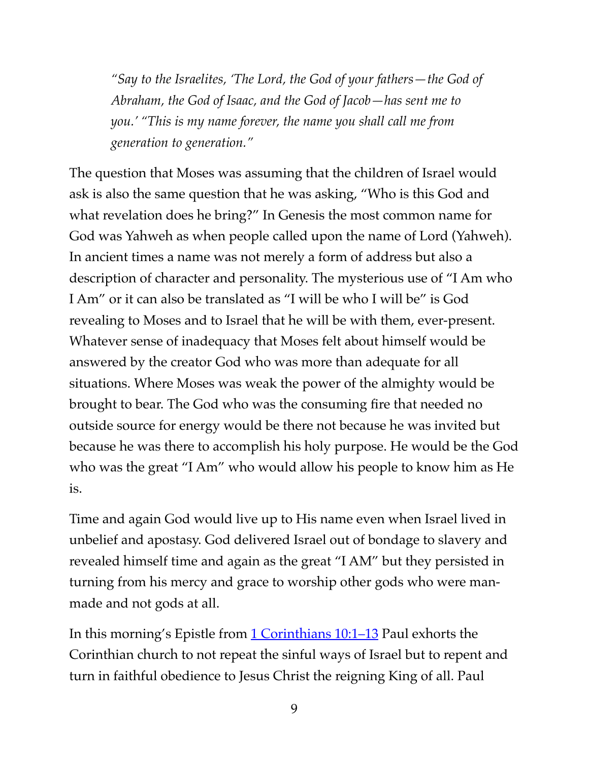*"Say to the Israelites, 'The Lord, the God of your fathers—the God of Abraham, the God of Isaac, and the God of Jacob—has sent me to you.' "This is my name forever, the name you shall call me from generation to generation."*

The question that Moses was assuming that the children of Israel would ask is also the same question that he was asking, "Who is this God and what revelation does he bring?" In Genesis the most common name for God was Yahweh as when people called upon the name of Lord (Yahweh). In ancient times a name was not merely a form of address but also a description of character and personality. The mysterious use of "I Am who I Am" or it can also be translated as "I will be who I will be" is God revealing to Moses and to Israel that he will be with them, ever-present. Whatever sense of inadequacy that Moses felt about himself would be answered by the creator God who was more than adequate for all situations. Where Moses was weak the power of the almighty would be brought to bear. The God who was the consuming fire that needed no outside source for energy would be there not because he was invited but because he was there to accomplish his holy purpose. He would be the God who was the great "I Am" who would allow his people to know him as He is.

Time and again God would live up to His name even when Israel lived in unbelief and apostasy. God delivered Israel out of bondage to slavery and revealed himself time and again as the great "I AM" but they persisted in turning from his mercy and grace to worship other gods who were manmade and not gods at all.

In this morning's Epistle from [1 Corinthians 10:1–13](https://www.biblegateway.com/passage/?search=1+Corinthians+10:1%E2%80%9313&version=ESV) Paul exhorts the Corinthian church to not repeat the sinful ways of Israel but to repent and turn in faithful obedience to Jesus Christ the reigning King of all. Paul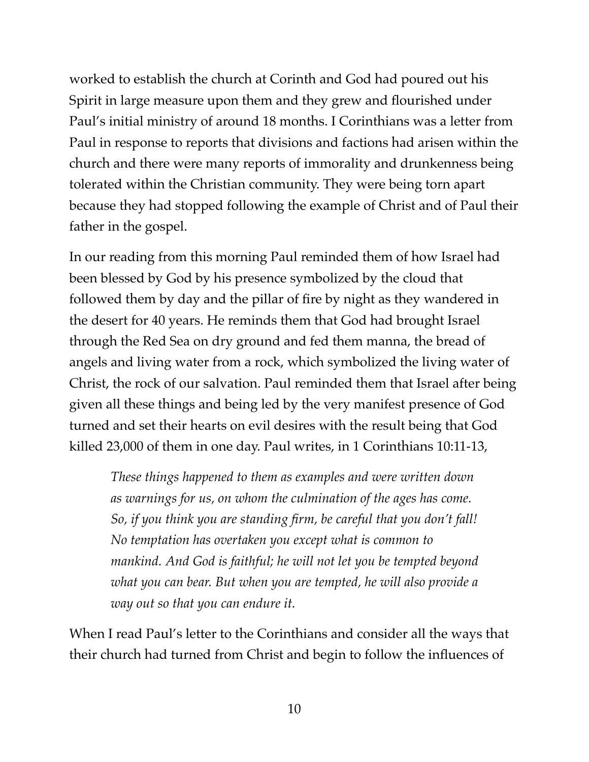worked to establish the church at Corinth and God had poured out his Spirit in large measure upon them and they grew and flourished under Paul's initial ministry of around 18 months. I Corinthians was a letter from Paul in response to reports that divisions and factions had arisen within the church and there were many reports of immorality and drunkenness being tolerated within the Christian community. They were being torn apart because they had stopped following the example of Christ and of Paul their father in the gospel.

In our reading from this morning Paul reminded them of how Israel had been blessed by God by his presence symbolized by the cloud that followed them by day and the pillar of fire by night as they wandered in the desert for 40 years. He reminds them that God had brought Israel through the Red Sea on dry ground and fed them manna, the bread of angels and living water from a rock, which symbolized the living water of Christ, the rock of our salvation. Paul reminded them that Israel after being given all these things and being led by the very manifest presence of God turned and set their hearts on evil desires with the result being that God killed 23,000 of them in one day. Paul writes, in 1 Corinthians 10:11-13,

*These things happened to them as examples and were written down as warnings for us, on whom the culmination of the ages has come. So, if you think you are standing firm, be careful that you don't fall! No temptation has overtaken you except what is common to mankind. And God is faithful; he will not let you be tempted beyond what you can bear. But when you are tempted, he will also provide a way out so that you can endure it.*

When I read Paul's letter to the Corinthians and consider all the ways that their church had turned from Christ and begin to follow the influences of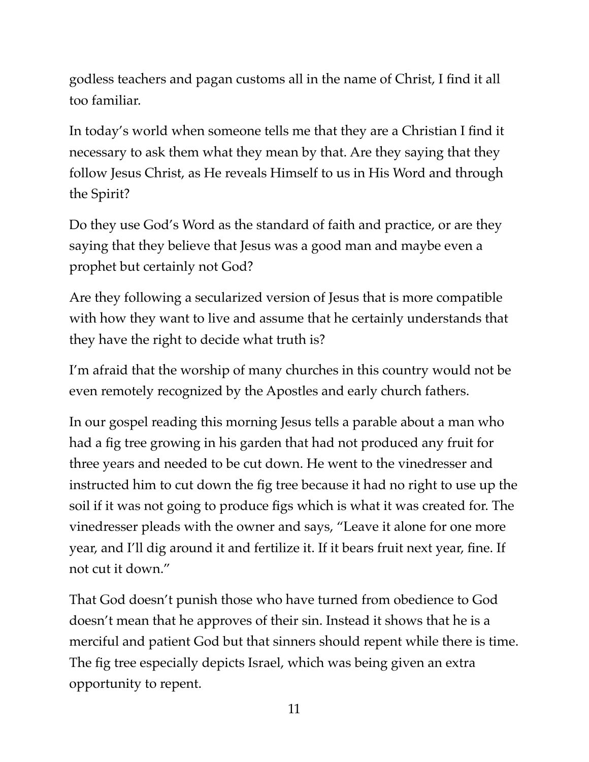godless teachers and pagan customs all in the name of Christ, I find it all too familiar.

In today's world when someone tells me that they are a Christian I find it necessary to ask them what they mean by that. Are they saying that they follow Jesus Christ, as He reveals Himself to us in His Word and through the Spirit?

Do they use God's Word as the standard of faith and practice, or are they saying that they believe that Jesus was a good man and maybe even a prophet but certainly not God?

Are they following a secularized version of Jesus that is more compatible with how they want to live and assume that he certainly understands that they have the right to decide what truth is?

I'm afraid that the worship of many churches in this country would not be even remotely recognized by the Apostles and early church fathers.

In our gospel reading this morning Jesus tells a parable about a man who had a fig tree growing in his garden that had not produced any fruit for three years and needed to be cut down. He went to the vinedresser and instructed him to cut down the fig tree because it had no right to use up the soil if it was not going to produce figs which is what it was created for. The vinedresser pleads with the owner and says, "Leave it alone for one more year, and I'll dig around it and fertilize it. If it bears fruit next year, fine. If not cut it down."

That God doesn't punish those who have turned from obedience to God doesn't mean that he approves of their sin. Instead it shows that he is a merciful and patient God but that sinners should repent while there is time. The fig tree especially depicts Israel, which was being given an extra opportunity to repent.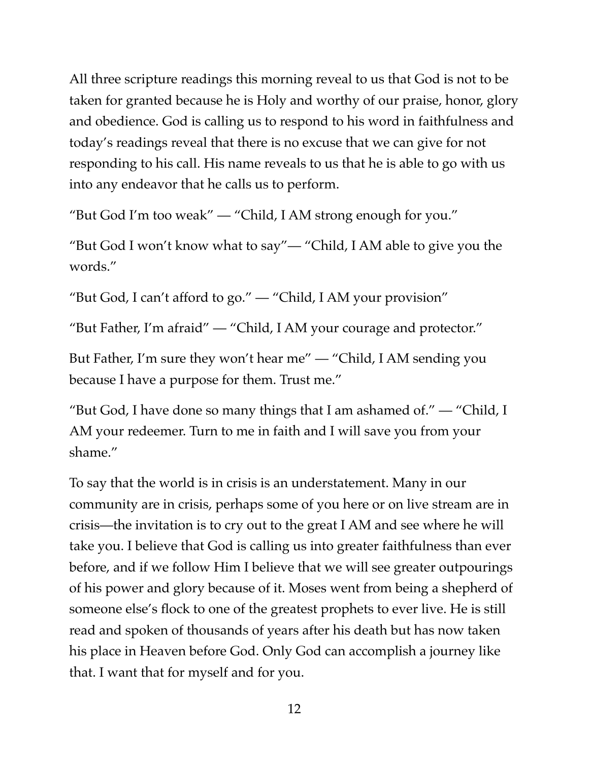All three scripture readings this morning reveal to us that God is not to be taken for granted because he is Holy and worthy of our praise, honor, glory and obedience. God is calling us to respond to his word in faithfulness and today's readings reveal that there is no excuse that we can give for not responding to his call. His name reveals to us that he is able to go with us into any endeavor that he calls us to perform.

"But God I'm too weak" — "Child, I AM strong enough for you."

"But God I won't know what to say"— "Child, I AM able to give you the words."

"But God, I can't afford to go." — "Child, I AM your provision"

"But Father, I'm afraid" — "Child, I AM your courage and protector."

But Father, I'm sure they won't hear me" — "Child, I AM sending you because I have a purpose for them. Trust me."

"But God, I have done so many things that I am ashamed of."  $-$  "Child, I AM your redeemer. Turn to me in faith and I will save you from your shame."

To say that the world is in crisis is an understatement. Many in our community are in crisis, perhaps some of you here or on live stream are in crisis—the invitation is to cry out to the great I AM and see where he will take you. I believe that God is calling us into greater faithfulness than ever before, and if we follow Him I believe that we will see greater outpourings of his power and glory because of it. Moses went from being a shepherd of someone else's flock to one of the greatest prophets to ever live. He is still read and spoken of thousands of years after his death but has now taken his place in Heaven before God. Only God can accomplish a journey like that. I want that for myself and for you.